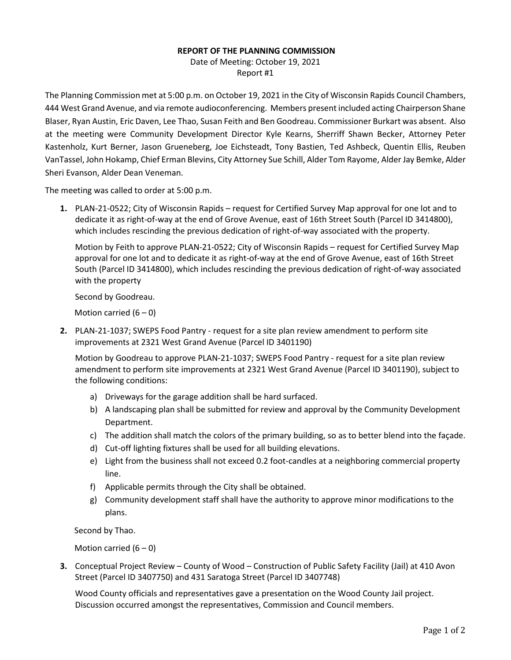## **REPORT OF THE PLANNING COMMISSION**

Date of Meeting: October 19, 2021 Report #1

The Planning Commission met at 5:00 p.m. on October 19, 2021 in the City of Wisconsin Rapids Council Chambers, 444 West Grand Avenue, and via remote audioconferencing. Members present included acting Chairperson Shane Blaser, Ryan Austin, Eric Daven, Lee Thao, Susan Feith and Ben Goodreau. Commissioner Burkart was absent. Also at the meeting were Community Development Director Kyle Kearns, Sherriff Shawn Becker, Attorney Peter Kastenholz, Kurt Berner, Jason Grueneberg, Joe Eichsteadt, Tony Bastien, Ted Ashbeck, Quentin Ellis, Reuben VanTassel, John Hokamp, Chief Erman Blevins, City Attorney Sue Schill, Alder Tom Rayome, Alder Jay Bemke, Alder Sheri Evanson, Alder Dean Veneman.

The meeting was called to order at 5:00 p.m.

**1.** PLAN-21-0522; City of Wisconsin Rapids – request for Certified Survey Map approval for one lot and to dedicate it as right-of-way at the end of Grove Avenue, east of 16th Street South (Parcel ID 3414800), which includes rescinding the previous dedication of right-of-way associated with the property.

Motion by Feith to approve PLAN-21-0522; City of Wisconsin Rapids – request for Certified Survey Map approval for one lot and to dedicate it as right-of-way at the end of Grove Avenue, east of 16th Street South (Parcel ID 3414800), which includes rescinding the previous dedication of right-of-way associated with the property

Second by Goodreau.

Motion carried  $(6 - 0)$ 

**2.** PLAN-21-1037; SWEPS Food Pantry - request for a site plan review amendment to perform site improvements at 2321 West Grand Avenue (Parcel ID 3401190)

Motion by Goodreau to approve PLAN-21-1037; SWEPS Food Pantry - request for a site plan review amendment to perform site improvements at 2321 West Grand Avenue (Parcel ID 3401190), subject to the following conditions:

- a) Driveways for the garage addition shall be hard surfaced.
- b) A landscaping plan shall be submitted for review and approval by the Community Development Department.
- c) The addition shall match the colors of the primary building, so as to better blend into the façade.
- d) Cut-off lighting fixtures shall be used for all building elevations.
- e) Light from the business shall not exceed 0.2 foot-candles at a neighboring commercial property line.
- f) Applicable permits through the City shall be obtained.
- g) Community development staff shall have the authority to approve minor modifications to the plans.

Second by Thao.

Motion carried  $(6 - 0)$ 

**3.** Conceptual Project Review – County of Wood – Construction of Public Safety Facility (Jail) at 410 Avon Street (Parcel ID 3407750) and 431 Saratoga Street (Parcel ID 3407748)

Wood County officials and representatives gave a presentation on the Wood County Jail project. Discussion occurred amongst the representatives, Commission and Council members.